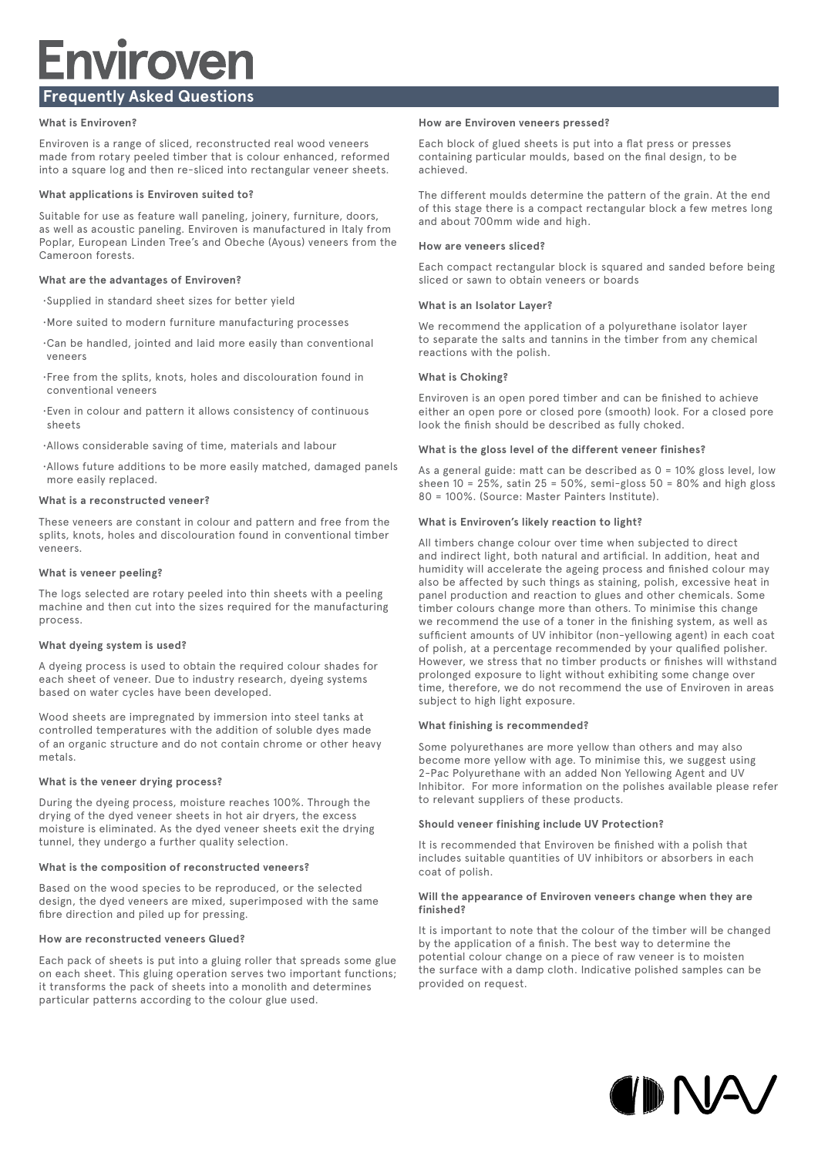# **Enviroven Frequently Asked Questions**

# **What is Enviroven?**

Enviroven is a range of sliced, reconstructed real wood veneers made from rotary peeled timber that is colour enhanced, reformed into a square log and then re-sliced into rectangular veneer sheets.

# **What applications is Enviroven suited to?**

Suitable for use as feature wall paneling, joinery, furniture, doors, as well as acoustic paneling. Enviroven is manufactured in Italy from Poplar, European Linden Tree's and Obeche (Ayous) veneers from the Cameroon forests.

# **What are the advantages of Enviroven?**

- • Supplied in standard sheet sizes for better yield
- • More suited to modern furniture manufacturing processes
- • Can be handled, jointed and laid more easily than conventional veneers
- • Free from the splits, knots, holes and discolouration found in conventional veneers
- • Even in colour and pattern it allows consistency of continuous sheets
- • Allows considerable saving of time, materials and labour
- • Allows future additions to be more easily matched, damaged panels more easily replaced.

# **What is a reconstructed veneer?**

These veneers are constant in colour and pattern and free from the splits, knots, holes and discolouration found in conventional timber veneers.

# **What is veneer peeling?**

The logs selected are rotary peeled into thin sheets with a peeling machine and then cut into the sizes required for the manufacturing process.

# **What dyeing system is used?**

A dyeing process is used to obtain the required colour shades for each sheet of veneer. Due to industry research, dyeing systems based on water cycles have been developed.

Wood sheets are impregnated by immersion into steel tanks at controlled temperatures with the addition of soluble dyes made of an organic structure and do not contain chrome or other heavy metals.

# **What is the veneer drying process?**

During the dyeing process, moisture reaches 100%. Through the drying of the dyed veneer sheets in hot air dryers, the excess moisture is eliminated. As the dyed veneer sheets exit the drying tunnel, they undergo a further quality selection.

# **What is the composition of reconstructed veneers?**

Based on the wood species to be reproduced, or the selected design, the dyed veneers are mixed, superimposed with the same fibre direction and piled up for pressing.

# **How are reconstructed veneers Glued?**

Each pack of sheets is put into a gluing roller that spreads some glue on each sheet. This gluing operation serves two important functions; it transforms the pack of sheets into a monolith and determines particular patterns according to the colour glue used.

# **How are Enviroven veneers pressed?**

Each block of glued sheets is put into a flat press or presses containing particular moulds, based on the final design, to be achieved.

The different moulds determine the pattern of the grain. At the end of this stage there is a compact rectangular block a few metres long and about 700mm wide and high.

# **How are veneers sliced?**

Each compact rectangular block is squared and sanded before being sliced or sawn to obtain veneers or boards

# **What is an Isolator Layer?**

We recommend the application of a polyurethane isolator layer to separate the salts and tannins in the timber from any chemical reactions with the polish.

# **What is Choking?**

Enviroven is an open pored timber and can be finished to achieve either an open pore or closed pore (smooth) look. For a closed pore look the finish should be described as fully choked.

# **What is the gloss level of the different veneer finishes?**

As a general guide: matt can be described as  $0 = 10\%$  gloss level, low sheen  $10 = 25\%$ , satin  $25 = 50\%$ , semi-gloss  $50 = 80\%$  and high gloss 80 = 100%. (Source: Master Painters Institute).

# **What is Enviroven's likely reaction to light?**

All timbers change colour over time when subjected to direct and indirect light, both natural and artificial. In addition, heat and humidity will accelerate the ageing process and finished colour may also be affected by such things as staining, polish, excessive heat in panel production and reaction to glues and other chemicals. Some timber colours change more than others. To minimise this change we recommend the use of a toner in the finishing system, as well as sufficient amounts of UV inhibitor (non-yellowing agent) in each coat of polish, at a percentage recommended by your qualified polisher. However, we stress that no timber products or finishes will withstand prolonged exposure to light without exhibiting some change over time, therefore, we do not recommend the use of Enviroven in areas subject to high light exposure.

# **What finishing is recommended?**

Some polyurethanes are more yellow than others and may also become more yellow with age. To minimise this, we suggest using 2-Pac Polyurethane with an added Non Yellowing Agent and UV Inhibitor. For more information on the polishes available please refer to relevant suppliers of these products.

# **Should veneer finishing include UV Protection?**

It is recommended that Enviroven be finished with a polish that includes suitable quantities of UV inhibitors or absorbers in each coat of polish.

#### **Will the appearance of Enviroven veneers change when they are finished?**

It is important to note that the colour of the timber will be changed by the application of a finish. The best way to determine the potential colour change on a piece of raw veneer is to moisten the surface with a damp cloth. Indicative polished samples can be provided on request.